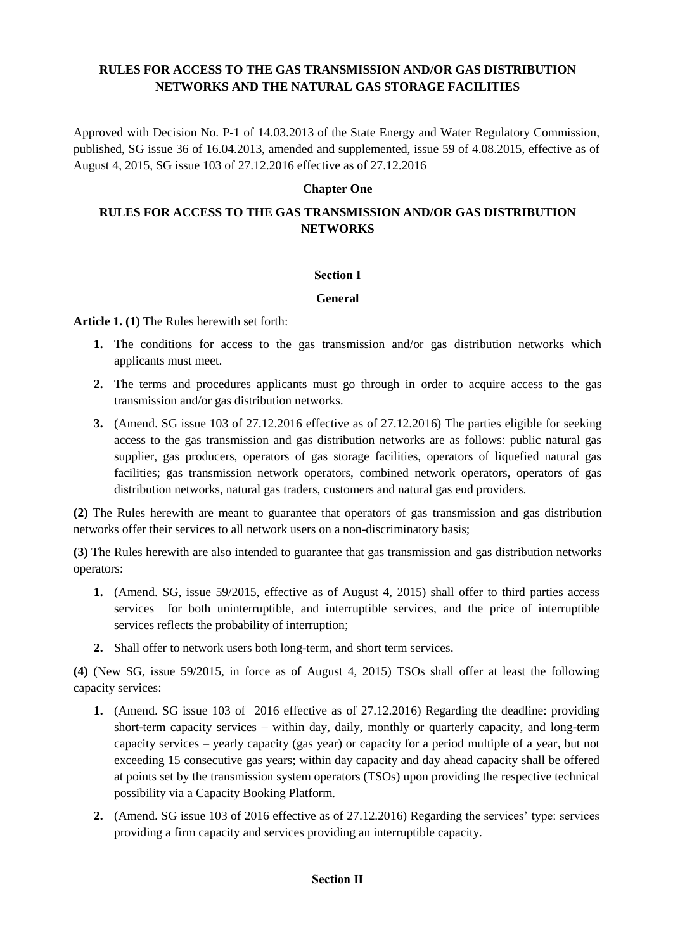## **RULES FOR ACCESS TO THE GAS TRANSMISSION AND/OR GAS DISTRIBUTION NETWORKS AND THE NATURAL GAS STORAGE FACILITIES**

Approved with Decision No. P-1 of 14.03.2013 of the State Energy and Water Regulatory Commission, published, SG issue 36 of 16.04.2013, amended and supplemented, issue 59 of 4.08.2015, effective as of August 4, 2015, SG issue 103 of 27.12.2016 effective as of 27.12.2016

## **Chapter One**

# **RULES FOR ACCESS TO THE GAS TRANSMISSION AND/OR GAS DISTRIBUTION NETWORKS**

## **Section І**

## **General**

**Article 1. (1)** The Rules herewith set forth:

- **1.** The conditions for access to the gas transmission and/or gas distribution networks which applicants must meet.
- **2.** The terms and procedures applicants must go through in order to acquire access to the gas transmission and/or gas distribution networks.
- **3.** (Amend. SG issue 103 of 27.12.2016 effective as of 27.12.2016) The parties eligible for seeking access to the gas transmission and gas distribution networks are as follows: public natural gas supplier, gas producers, operators of gas storage facilities, operators of liquefied natural gas facilities; gas transmission network operators, combined network operators, operators of gas distribution networks, natural gas traders, customers and natural gas end providers.

**(2)** The Rules herewith are meant to guarantee that operators of gas transmission and gas distribution networks offer their services to all network users on a non-discriminatory basis;

**(3)** The Rules herewith are also intended to guarantee that gas transmission and gas distribution networks operators:

- **1.** (Amend. SG, issue 59/2015, effective as of August 4, 2015) shall offer to third parties access services for both uninterruptible, and interruptible services, and the price of interruptible services reflects the probability of interruption;
- **2.** Shall offer to network users both long-term, and short term services.

**(4)** (New SG, issue 59/2015, in force as of August 4, 2015) TSOs shall offer at least the following capacity services:

- **1.** (Amend. SG issue 103 of 2016 effective as of 27.12.2016) Regarding the deadline: providing short-term capacity services – within day, daily, monthly or quarterly capacity, and long-term capacity services – yearly capacity (gas year) or capacity for a period multiple of a year, but not exceeding 15 consecutive gas years; within day capacity and day ahead capacity shall be offered at points set by the transmission system operators (TSOs) upon providing the respective technical possibility via a Capacity Booking Platform.
- **2.** (Amend. SG issue 103 of 2016 effective as of 27.12.2016) Regarding the services' type: services providing a firm capacity and services providing an interruptible capacity.

## **Section ІІ**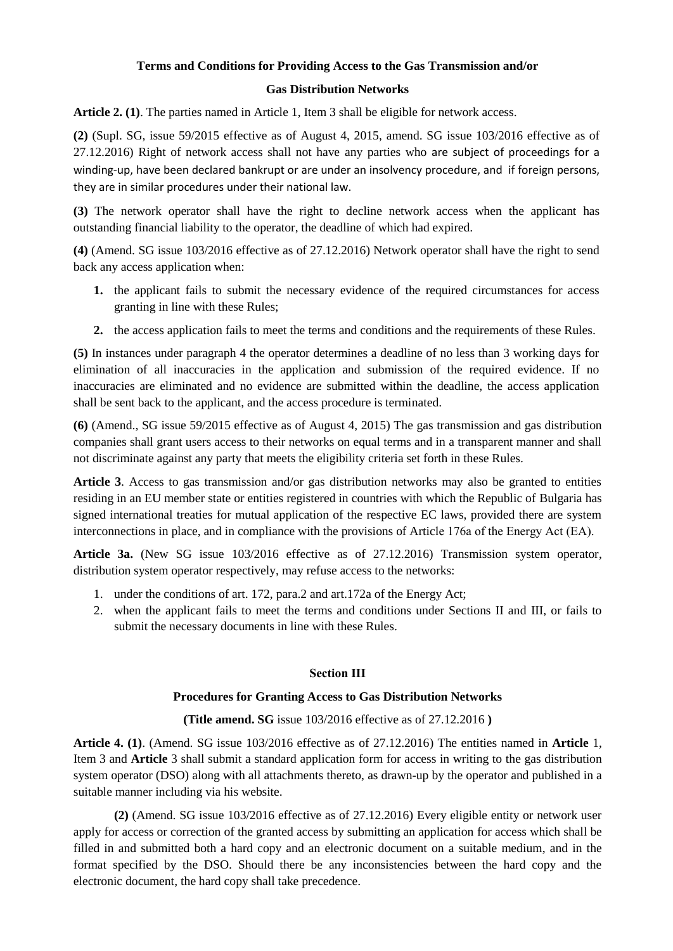# **Terms and Conditions for Providing Access to the Gas Transmission and/or**

## **Gas Distribution Networks**

**Article 2. (1)**. The parties named in Article 1, Item 3 shall be eligible for network access.

**(2)** (Supl. SG, issue 59/2015 effective as of August 4, 2015, amend. SG issue 103/2016 effective as of 27.12.2016) Right of network access shall not have any parties who are subject of proceedings for a winding-up, have been declared bankrupt or are under an insolvency procedure, and if foreign persons, they are in similar procedures under their national law.

**(3)** The network operator shall have the right to decline network access when the applicant has outstanding financial liability to the operator, the deadline of which had expired.

**(4)** (Amend. SG issue 103/2016 effective as of 27.12.2016) Network operator shall have the right to send back any access application when:

- **1.** the applicant fails to submit the necessary evidence of the required circumstances for access granting in line with these Rules;
- **2.** the access application fails to meet the terms and conditions and the requirements of these Rules.

**(5)** In instances under paragraph 4 the operator determines a deadline of no less than 3 working days for elimination of all inaccuracies in the application and submission of the required evidence. If no inaccuracies are eliminated and no evidence are submitted within the deadline, the access application shall be sent back to the applicant, and the access procedure is terminated.

**(6)** (Amend., SG issue 59/2015 effective as of August 4, 2015) The gas transmission and gas distribution companies shall grant users access to their networks on equal terms and in a transparent manner and shall not discriminate against any party that meets the eligibility criteria set forth in these Rules.

**Article 3**. Access to gas transmission and/or gas distribution networks may also be granted to entities residing in an EU member state or entities registered in countries with which the Republic of Bulgaria has signed international treaties for mutual application of the respective EC laws, provided there are system interconnections in place, and in compliance with the provisions of Article 176а of the Energy Act (EA).

**Article 3a.** (New SG issue 103/2016 effective as of 27.12.2016) Transmission system operator, distribution system operator respectively, may refuse access to the networks:

- 1. under the conditions of art. 172, para.2 and art.172a of the Energy Act;
- 2. when the applicant fails to meet the terms and conditions under Sections II and III, or fails to submit the necessary documents in line with these Rules.

## **Section ІІІ**

## **Procedures for Granting Access to Gas Distribution Networks**

## **(Title amend. SG** issue 103/2016 effective as of 27.12.2016 **)**

**Article 4. (1)**. (Amend. SG issue 103/2016 effective as of 27.12.2016) The entities named in **Article** 1, Item 3 and **Article** 3 shall submit a standard application form for access in writing to the gas distribution system operator (DSO) along with all attachments thereto, as drawn-up by the operator and published in a suitable manner including via his website.

**(2)** (Amend. SG issue 103/2016 effective as of 27.12.2016) Every eligible entity or network user apply for access or correction of the granted access by submitting an application for access which shall be filled in and submitted both a hard copy and an electronic document on a suitable medium, and in the format specified by the DSO. Should there be any inconsistencies between the hard copy and the electronic document, the hard copy shall take precedence.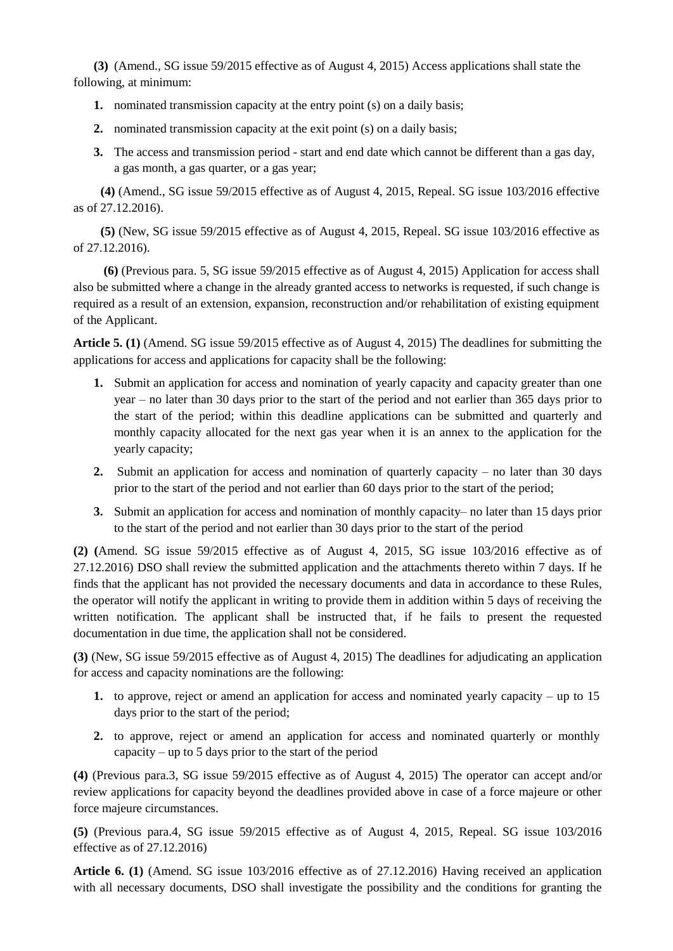**(3)** (Amend., SG issue 59/2015 effective as of August 4, 2015) Access applications shall state the following, at minimum:

- **1.** nominated transmission capacity at the entry point (s) on a daily basis;
- **2.** nominated transmission capacity at the exit point (s) on a daily basis;
- **3.** The access and transmission period start and end date which cannot be different than a gas day, a gas month, a gas quarter, or a gas year;

**(4)** (Amend., SG issue 59/2015 effective as of August 4, 2015, Repeal. SG issue 103/2016 effective as of 27.12.2016).

**(5)** (New, SG issue 59/2015 effective as of August 4, 2015, Repeal. SG issue 103/2016 effective as of 27.12.2016).

**(6)** (Previous para. 5, SG issue 59/2015 effective as of August 4, 2015) Application for access shall also be submitted where a change in the already granted access to networks is requested, if such change is required as a result of an extension, expansion, reconstruction and/or rehabilitation of existing equipment of the Applicant.

**Article 5. (1)** (Amend. SG issue 59/2015 effective as of August 4, 2015) The deadlines for submitting the applications for access and applications for capacity shall be the following:

- **1.** Submit an application for access and nomination of yearly capacity and capacity greater than one year – no later than 30 days prior to the start of the period and not earlier than 365 days prior to the start of the period; within this deadline applications can be submitted and quarterly and monthly capacity allocated for the next gas year when it is an annex to the application for the yearly capacity;
- **2.** Submit an application for access and nomination of quarterly capacity no later than 30 days prior to the start of the period and not earlier than 60 days prior to the start of the period;
- **3.** Submit an application for access and nomination of monthly capacity– no later than 15 days prior to the start of the period and not earlier than 30 days prior to the start of the period

**(2) (**Amend. SG issue 59/2015 effective as of August 4, 2015, SG issue 103/2016 effective as of 27.12.2016) DSO shall review the submitted application and the attachments thereto within 7 days. If he finds that the applicant has not provided the necessary documents and data in accordance to these Rules, the operator will notify the applicant in writing to provide them in addition within 5 days of receiving the written notification. The applicant shall be instructed that, if he fails to present the requested documentation in due time, the application shall not be considered.

**(3)** (New, SG issue 59/2015 effective as of August 4, 2015) The deadlines for adjudicating an application for access and capacity nominations are the following:

- **1.** to approve, reject or amend an application for access and nominated yearly capacity up to 15 days prior to the start of the period;
- **2.** to approve, reject or amend an application for access and nominated quarterly or monthly capacity – up to 5 days prior to the start of the period

**(4)** (Previous para.3, SG issue 59/2015 effective as of August 4, 2015) The operator can accept and/or review applications for capacity beyond the deadlines provided above in case of a force majeure or other force majeure circumstances.

**(5)** (Previous para.4, SG issue 59/2015 effective as of August 4, 2015, Repeal. SG issue 103/2016 effective as of 27.12.2016)

**Article 6. (1)** (Amend. SG issue 103/2016 effective as of 27.12.2016) Having received an application with all necessary documents, DSO shall investigate the possibility and the conditions for granting the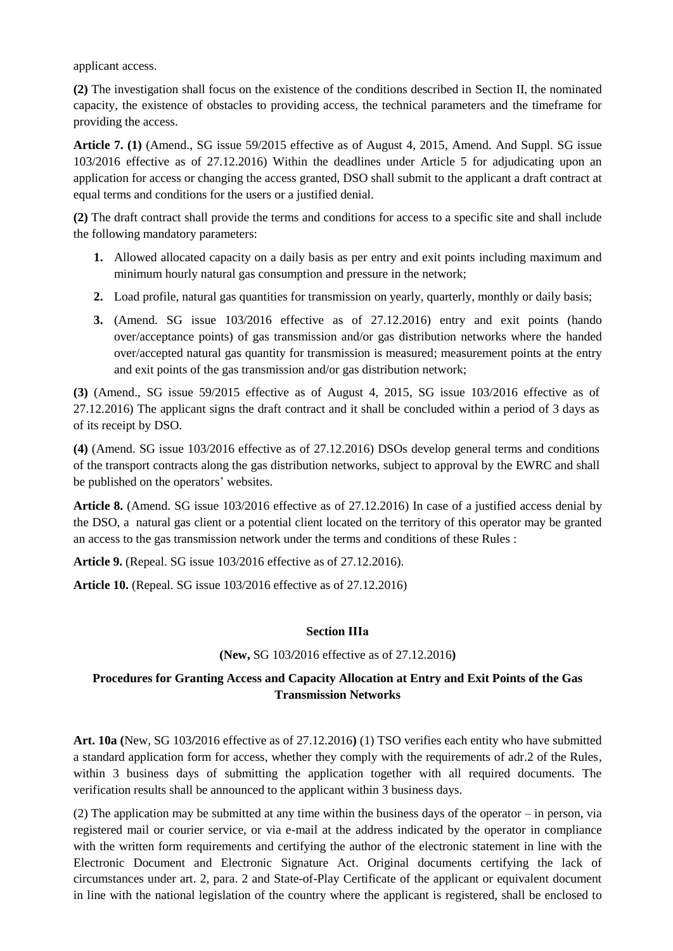applicant access.

**(2)** The investigation shall focus on the existence of the conditions described in Section IІ, the nominated capacity, the existence of obstacles to providing access, the technical parameters and the timeframe for providing the access.

**Article 7. (1)** (Amend., SG issue 59/2015 effective as of August 4, 2015, Amend. And Suppl. SG issue 103/2016 effective as of 27.12.2016) Within the deadlines under Article 5 for adjudicating upon an application for access or changing the access granted, DSO shall submit to the applicant a draft contract at equal terms and conditions for the users or a justified denial.

**(2)** The draft contract shall provide the terms and conditions for access to a specific site and shall include the following mandatory parameters:

- **1.** Allowed allocated capacity on a daily basis as per entry and exit points including maximum and minimum hourly natural gas consumption and pressure in the network;
- **2.** Load profile, natural gas quantities for transmission on yearly, quarterly, monthly or daily basis;
- **3.** (Amend. SG issue 103/2016 effective as of 27.12.2016) entry and exit points (hando over/acceptance points) of gas transmission and/or gas distribution networks where the handed over/accepted natural gas quantity for transmission is measured; measurement points at the entry and exit points of the gas transmission and/or gas distribution network;

**(3)** (Amend., SG issue 59/2015 effective as of August 4, 2015, SG issue 103/2016 effective as of 27.12.2016) The applicant signs the draft contract and it shall be concluded within a period of 3 days as of its receipt by DSO.

**(4)** (Amend. SG issue 103/2016 effective as of 27.12.2016) DSOs develop general terms and conditions of the transport contracts along the gas distribution networks, subject to approval by the EWRC and shall be published on the operators' websites.

**Article 8.** (Amend. SG issue 103/2016 effective as of 27.12.2016) In case of a justified access denial by the DSO, a natural gas client or a potential client located on the territory of this operator may be granted an access to the gas transmission network under the terms and conditions of these Rules :

**Article 9.** (Repeal. SG issue 103/2016 effective as of 27.12.2016).

**Article 10.** (Repeal. SG issue 103/2016 effective as of 27.12.2016)

## **Section ІIIa**

## **(New,** SG 103**/**2016 effective as of 27.12.2016**)**

# **Procedures for Granting Access and Capacity Allocation at Entry and Exit Points of the Gas Transmission Networks**

**Art. 10a (**New, SG 103**/**2016 effective as of 27.12.2016**)** (1) TSO verifies each entity who have submitted a standard application form for access, whether they comply with the requirements of adr.2 of the Rules, within 3 business days of submitting the application together with all required documents. The verification results shall be announced to the applicant within 3 business days.

(2) The application may be submitted at any time within the business days of the operator – in person, via registered mail or courier service, or via e-mail at the address indicated by the operator in compliance with the written form requirements and certifying the author of the electronic statement in line with the Electronic Document and Electronic Signature Act. Original documents certifying the lack of circumstances under art. 2, para. 2 and State-of-Play Certificate of the applicant or equivalent document in line with the national legislation of the country where the applicant is registered, shall be enclosed to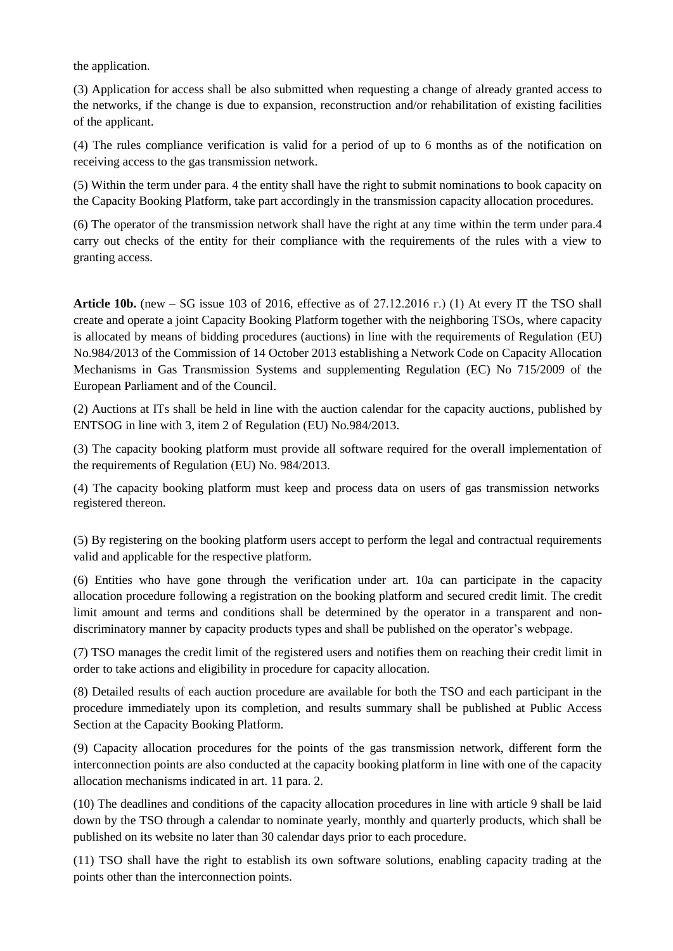the application.

(3) Application for access shall be also submitted when requesting a change of already granted access to the networks, if the change is due to expansion, reconstruction and/or rehabilitation of existing facilities of the applicant.

(4) The rules compliance verification is valid for a period of up to 6 months as of the notification on receiving access to the gas transmission network.

(5) Within the term under para. 4 the entity shall have the right to submit nominations to book capacity on the Capacity Booking Platform, take part accordingly in the transmission capacity allocation procedures.

(6) The operator of the transmission network shall have the right at any time within the term under para.4 carry out checks of the entity for their compliance with the requirements of the rules with a view to granting access.

**Article 10b.** (new – SG issue 103 of 2016, effective as of  $27.12.2016$  r.) (1) At every IT the TSO shall create and operate a joint Capacity Booking Platform together with the neighboring TSOs, where capacity is allocated by means of bidding procedures (auctions) in line with the requirements of Regulation (ЕU) No.984/2013 of the Commission of 14 October 2013 establishing a Network Code on Capacity Allocation Mechanisms in Gas Transmission Systems and supplementing Regulation (EC) No 715/2009 of the European Parliament and of the Council.

(2) Auctions at ITs shall be held in line with the auction calendar for the capacity auctions, published by ENTSOG in line with 3, item 2 of Regulation (ЕU) No.984/2013.

(3) The capacity booking platform must provide all software required for the overall implementation of the requirements of Regulation (ЕU) No. 984/2013.

(4) The capacity booking platform must keep and process data on users of gas transmission networks registered thereon.

(5) By registering on the booking platform users accept to perform the legal and contractual requirements valid and applicable for the respective platform.

(6) Entities who have gone through the verification under art. 10a can participate in the capacity allocation procedure following a registration on the booking platform and secured credit limit. The credit limit amount and terms and conditions shall be determined by the operator in a transparent and nondiscriminatory manner by capacity products types and shall be published on the operator's webpage.

(7) TSO manages the credit limit of the registered users and notifies them on reaching their credit limit in order to take actions and eligibility in procedure for capacity allocation.

(8) Detailed results of each auction procedure are available for both the TSO and each participant in the procedure immediately upon its completion, and results summary shall be published at Public Access Section at the Capacity Booking Platform.

(9) Capacity allocation procedures for the points of the gas transmission network, different form the interconnection points are also conducted at the capacity booking platform in line with one of the capacity allocation mechanisms indicated in art. 11 para. 2.

(10) The deadlines and conditions of the capacity allocation procedures in line with article 9 shall be laid down by the TSO through a calendar to nominate yearly, monthly and quarterly products, which shall be published on its website no later than 30 calendar days prior to each procedure.

(11) TSO shall have the right to establish its own software solutions, enabling capacity trading at the points other than the interconnection points.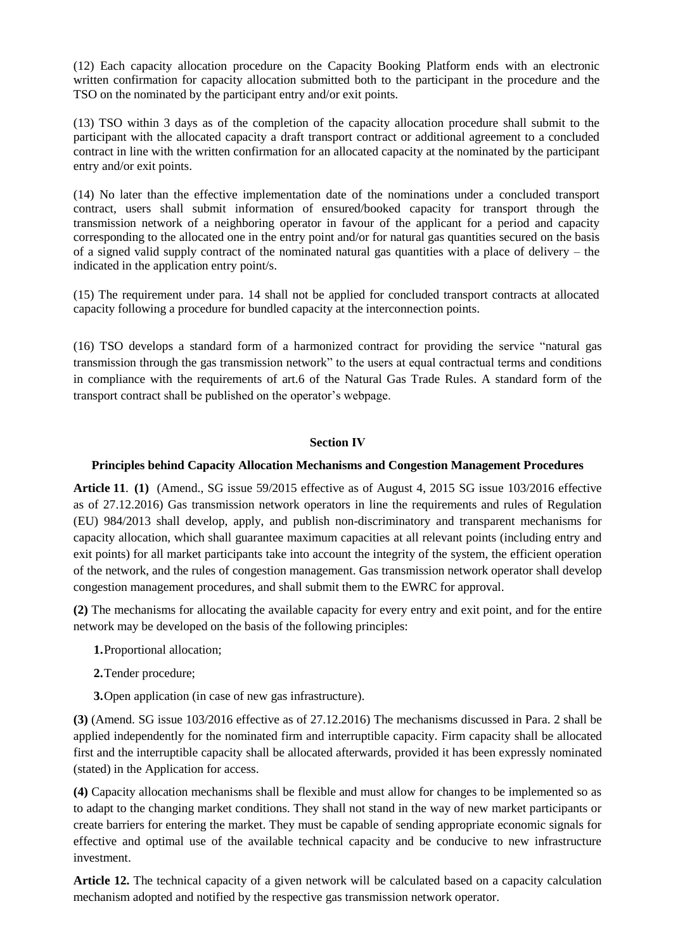(12) Each capacity allocation procedure on the Capacity Booking Platform ends with an electronic written confirmation for capacity allocation submitted both to the participant in the procedure and the TSO on the nominated by the participant entry and/or exit points.

(13) TSO within 3 days as of the completion of the capacity allocation procedure shall submit to the participant with the allocated capacity a draft transport contract or additional agreement to a concluded contract in line with the written confirmation for an allocated capacity at the nominated by the participant entry and/or exit points.

(14) No later than the effective implementation date of the nominations under a concluded transport contract, users shall submit information of ensured/booked capacity for transport through the transmission network of a neighboring operator in favour of the applicant for a period and capacity corresponding to the allocated one in the entry point and/or for natural gas quantities secured on the basis of a signed valid supply contract of the nominated natural gas quantities with a place of delivery – the indicated in the application entry point/s.

(15) The requirement under para. 14 shall not be applied for concluded transport contracts at allocated capacity following a procedure for bundled capacity at the interconnection points.

(16) TSO develops a standard form of a harmonized contract for providing the service "natural gas transmission through the gas transmission network" to the users at equal contractual terms and conditions in compliance with the requirements of art.6 of the Natural Gas Trade Rules. A standard form of the transport contract shall be published on the operator's webpage.

## **Section ІV**

## **Principles behind Capacity Allocation Mechanisms and Congestion Management Procedures**

**Article 11**. **(1)** (Amend., SG issue 59/2015 effective as of August 4, 2015 SG issue 103/2016 effective as of 27.12.2016) Gas transmission network operators in line the requirements and rules of Regulation (EU) 984/2013 shall develop, apply, and publish non-discriminatory and transparent mechanisms for capacity allocation, which shall guarantee maximum capacities at all relevant points (including entry and exit points) for all market participants take into account the integrity of the system, the efficient operation of the network, and the rules of congestion management. Gas transmission network operator shall develop congestion management procedures, and shall submit them to the EWRC for approval.

**(2)** The mechanisms for allocating the available capacity for every entry and exit point, and for the entire network may be developed on the basis of the following principles:

- **1.**Proportional allocation;
- **2.**Tender procedure;
- **3.**Open application (in case of new gas infrastructure).

**(3)** (Amend. SG issue 103/2016 effective as of 27.12.2016) The mechanisms discussed in Para. 2 shall be applied independently for the nominated firm and interruptible capacity. Firm capacity shall be allocated first and the interruptible capacity shall be allocated afterwards, provided it has been expressly nominated (stated) in the Application for access.

**(4)** Capacity allocation mechanisms shall be flexible and must allow for changes to be implemented so as to adapt to the changing market conditions. They shall not stand in the way of new market participants or create barriers for entering the market. They must be capable of sending appropriate economic signals for effective and optimal use of the available technical capacity and be conducive to new infrastructure investment.

**Article 12.** The technical capacity of a given network will be calculated based on a capacity calculation mechanism adopted and notified by the respective gas transmission network operator.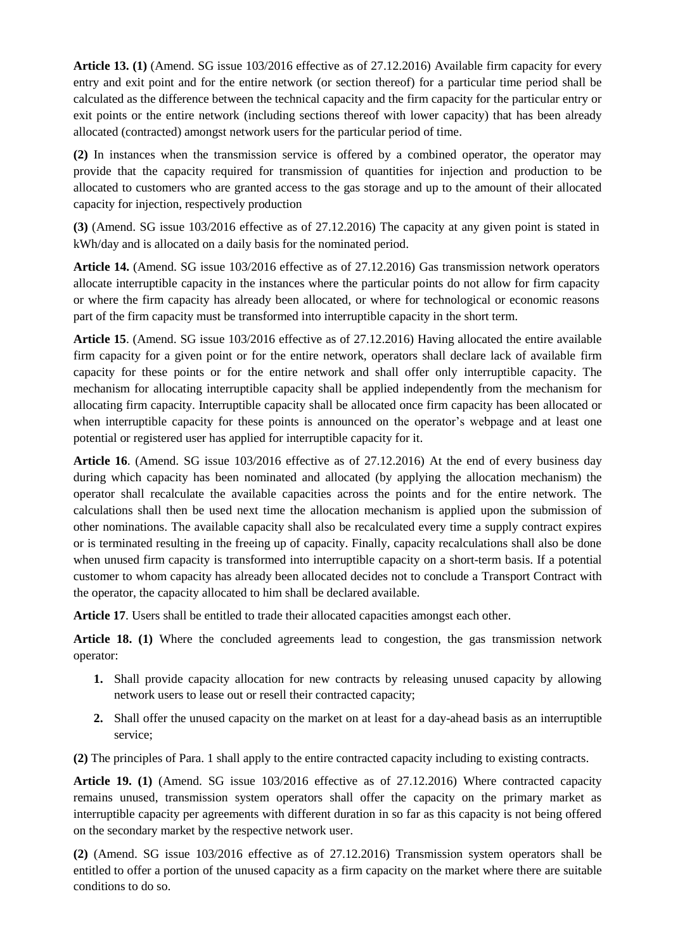**Article 13. (1)** (Amend. SG issue 103/2016 effective as of 27.12.2016) Available firm capacity for every entry and exit point and for the entire network (or section thereof) for a particular time period shall be calculated as the difference between the technical capacity and the firm capacity for the particular entry or exit points or the entire network (including sections thereof with lower capacity) that has been already allocated (contracted) amongst network users for the particular period of time.

**(2)** In instances when the transmission service is offered by a combined operator, the operator may provide that the capacity required for transmission of quantities for injection and production to be allocated to customers who are granted access to the gas storage and up to the amount of their allocated capacity for injection, respectively production

**(3)** (Amend. SG issue 103/2016 effective as of 27.12.2016) The capacity at any given point is stated in kWh/day and is allocated on a daily basis for the nominated period.

**Article 14.** (Amend. SG issue 103/2016 effective as of 27.12.2016) Gas transmission network operators allocate interruptible capacity in the instances where the particular points do not allow for firm capacity or where the firm capacity has already been allocated, or where for technological or economic reasons part of the firm capacity must be transformed into interruptible capacity in the short term.

**Article 15**. (Amend. SG issue 103/2016 effective as of 27.12.2016) Having allocated the entire available firm capacity for a given point or for the entire network, operators shall declare lack of available firm capacity for these points or for the entire network and shall offer only interruptible capacity. The mechanism for allocating interruptible capacity shall be applied independently from the mechanism for allocating firm capacity. Interruptible capacity shall be allocated once firm capacity has been allocated or when interruptible capacity for these points is announced on the operator's webpage and at least one potential or registered user has applied for interruptible capacity for it.

**Article 16**. (Amend. SG issue 103/2016 effective as of 27.12.2016) At the end of every business day during which capacity has been nominated and allocated (by applying the allocation mechanism) the operator shall recalculate the available capacities across the points and for the entire network. The calculations shall then be used next time the allocation mechanism is applied upon the submission of other nominations. The available capacity shall also be recalculated every time a supply contract expires or is terminated resulting in the freeing up of capacity. Finally, capacity recalculations shall also be done when unused firm capacity is transformed into interruptible capacity on a short-term basis. If a potential customer to whom capacity has already been allocated decides not to conclude a Transport Contract with the operator, the capacity allocated to him shall be declared available.

**Article 17**. Users shall be entitled to trade their allocated capacities amongst each other.

**Article 18. (1)** Where the concluded agreements lead to congestion, the gas transmission network operator:

- **1.** Shall provide capacity allocation for new contracts by releasing unused capacity by allowing network users to lease out or resell their contracted capacity;
- **2.** Shall offer the unused capacity on the market on at least for a day-ahead basis as an interruptible service;

**(2)** The principles of Para. 1 shall apply to the entire contracted capacity including to existing contracts.

**Article 19. (1)** (Amend. SG issue 103/2016 effective as of 27.12.2016) Where contracted capacity remains unused, transmission system operators shall offer the capacity on the primary market as interruptible capacity per agreements with different duration in so far as this capacity is not being offered on the secondary market by the respective network user.

**(2)** (Amend. SG issue 103/2016 effective as of 27.12.2016) Transmission system operators shall be entitled to offer a portion of the unused capacity as a firm capacity on the market where there are suitable conditions to do so.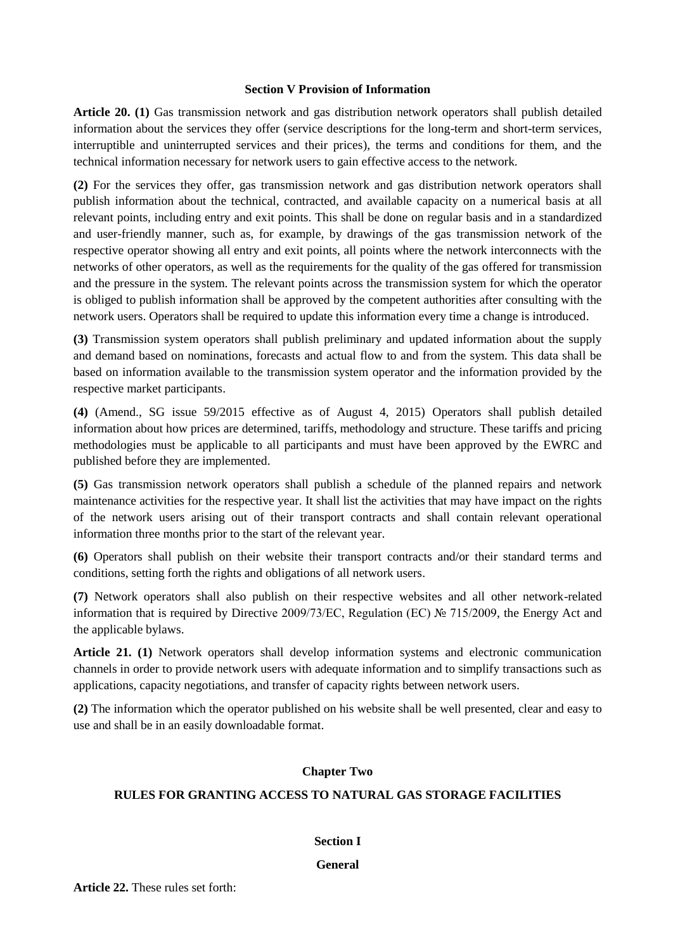## **Section V Provision of Information**

**Article 20. (1)** Gas transmission network and gas distribution network operators shall publish detailed information about the services they offer (service descriptions for the long-term and short-term services, interruptible and uninterrupted services and their prices), the terms and conditions for them, and the technical information necessary for network users to gain effective access to the network.

**(2)** For the services they offer, gas transmission network and gas distribution network operators shall publish information about the technical, contracted, and available capacity on a numerical basis at all relevant points, including entry and exit points. This shall be done on regular basis and in a standardized and user-friendly manner, such as, for example, by drawings of the gas transmission network of the respective operator showing all entry and exit points, all points where the network interconnects with the networks of other operators, as well as the requirements for the quality of the gas offered for transmission and the pressure in the system. The relevant points across the transmission system for which the operator is obliged to publish information shall be approved by the competent authorities after consulting with the network users. Operators shall be required to update this information every time a change is introduced.

**(3)** Transmission system operators shall publish preliminary and updated information about the supply and demand based on nominations, forecasts and actual flow to and from the system. This data shall be based on information available to the transmission system operator and the information provided by the respective market participants.

**(4)** (Amend., SG issue 59/2015 effective as of August 4, 2015) Operators shall publish detailed information about how prices are determined, tariffs, methodology and structure. These tariffs and pricing methodologies must be applicable to all participants and must have been approved by the EWRC and published before they are implemented.

**(5)** Gas transmission network operators shall publish a schedule of the planned repairs and network maintenance activities for the respective year. It shall list the activities that may have impact on the rights of the network users arising out of their transport contracts and shall contain relevant operational information three months prior to the start of the relevant year.

**(6)** Operators shall publish on their website their transport contracts and/or their standard terms and conditions, setting forth the rights and obligations of all network users.

**(7)** Network operators shall also publish on their respective websites and all other network-related information that is required by Directive 2009/73/ЕC, Regulation (ЕC) № 715/2009, the Energy Act and the applicable bylaws.

**Article 21. (1)** Network operators shall develop information systems and electronic communication channels in order to provide network users with adequate information and to simplify transactions such as applications, capacity negotiations, and transfer of capacity rights between network users.

**(2)** The information which the operator published on his website shall be well presented, clear and easy to use and shall be in an easily downloadable format.

## **Chapter Two**

## **RULES FOR GRANTING ACCESS TO NATURAL GAS STORAGE FACILITIES**

## **Section I**

#### **General**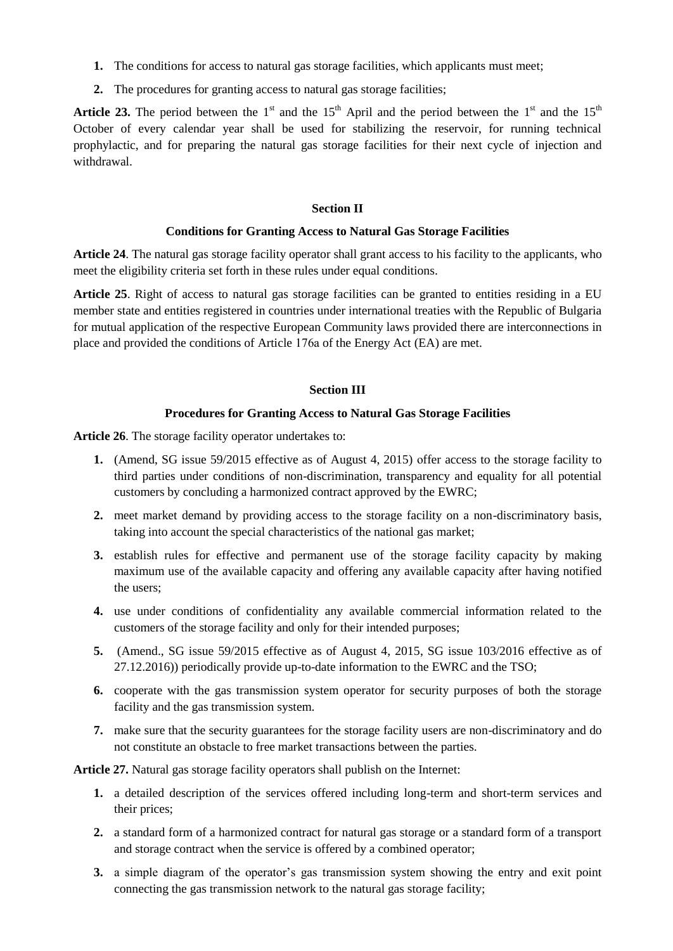- **1.** The conditions for access to natural gas storage facilities, which applicants must meet;
- **2.** The procedures for granting access to natural gas storage facilities;

**Article 23.** The period between the 1<sup>st</sup> and the 15<sup>th</sup> April and the period between the 1<sup>st</sup> and the 15<sup>th</sup> October of every calendar year shall be used for stabilizing the reservoir, for running technical prophylactic, and for preparing the natural gas storage facilities for their next cycle of injection and withdrawal.

## **Section II**

## **Conditions for Granting Access to Natural Gas Storage Facilities**

**Article 24**. The natural gas storage facility operator shall grant access to his facility to the applicants, who meet the eligibility criteria set forth in these rules under equal conditions.

**Article 25**. Right of access to natural gas storage facilities can be granted to entities residing in a EU member state and entities registered in countries under international treaties with the Republic of Bulgaria for mutual application of the respective European Community laws provided there are interconnections in place and provided the conditions of Article 176а of the Energy Act (EA) are met.

## **Section III**

## **Procedures for Granting Access to Natural Gas Storage Facilities**

**Article 26**. The storage facility operator undertakes to:

- **1.** (Amend, SG issue 59/2015 effective as of August 4, 2015) оffer access to the storage facility to third parties under conditions of non-discrimination, transparency and equality for all potential customers by concluding a harmonized contract approved by the EWRC;
- **2.** meet market demand by providing access to the storage facility on a non-discriminatory basis, taking into account the special characteristics of the national gas market;
- **3.** establish rules for effective and permanent use of the storage facility capacity by making maximum use of the available capacity and offering any available capacity after having notified the users;
- **4.** use under conditions of confidentiality any available commercial information related to the customers of the storage facility and only for their intended purposes;
- **5.** (Amend., SG issue 59/2015 effective as of August 4, 2015, SG issue 103/2016 effective as of 27.12.2016)) periodically provide up-to-date information to the EWRC and the TSO;
- **6.** cooperate with the gas transmission system operator for security purposes of both the storage facility and the gas transmission system.
- **7.** make sure that the security guarantees for the storage facility users are non-discriminatory and do not constitute an obstacle to free market transactions between the parties.

**Article 27.** Natural gas storage facility operators shall publish on the Internet:

- **1.** a detailed description of the services offered including long-term and short-term services and their prices;
- **2.** a standard form of a harmonized contract for natural gas storage or a standard form of a transport and storage contract when the service is offered by a combined operator;
- **3.** a simple diagram of the operator's gas transmission system showing the entry and exit point connecting the gas transmission network to the natural gas storage facility;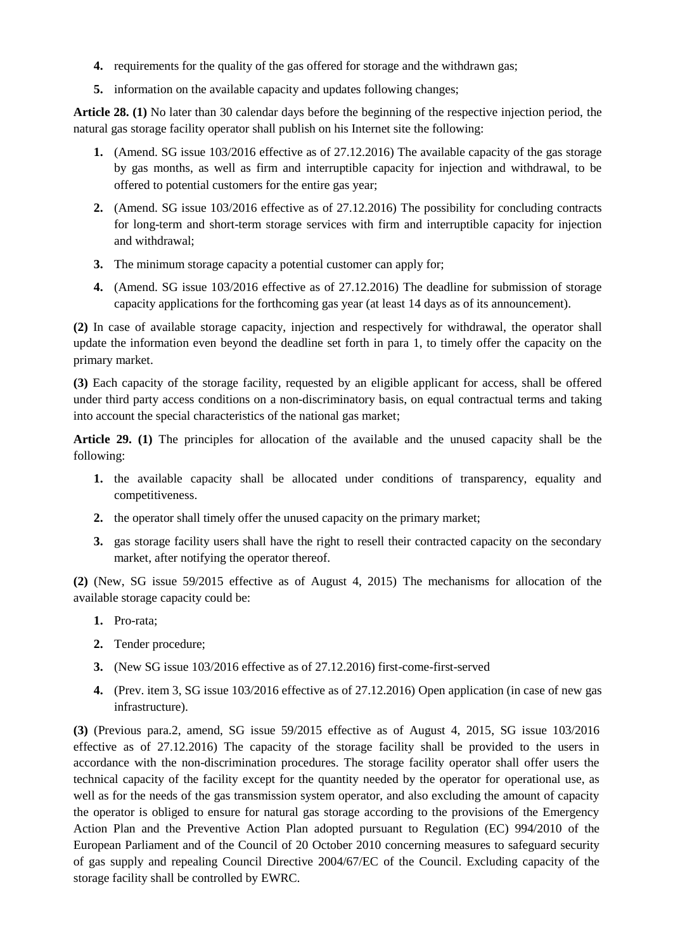- **4.** requirements for the quality of the gas offered for storage and the withdrawn gas;
- **5.** information on the available capacity and updates following changes;

**Article 28. (1)** No later than 30 calendar days before the beginning of the respective injection period, the natural gas storage facility operator shall publish on his Internet site the following:

- **1.** (Amend. SG issue 103/2016 effective as of 27.12.2016) The available capacity of the gas storage by gas months, as well as firm and interruptible capacity for injection and withdrawal, to be offered to potential customers for the entire gas year;
- **2.** (Amend. SG issue 103/2016 effective as of 27.12.2016) The possibility for concluding contracts for long-term and short-term storage services with firm and interruptible capacity for injection and withdrawal;
- **3.** The minimum storage capacity a potential customer can apply for;
- **4.** (Amend. SG issue 103/2016 effective as of 27.12.2016) The deadline for submission of storage capacity applications for the forthcoming gas year (at least 14 days as of its announcement).

**(2)** In case of available storage capacity, injection and respectively for withdrawal, the operator shall update the information even beyond the deadline set forth in para 1, to timely offer the capacity on the primary market.

**(3)** Each capacity of the storage facility, requested by an eligible applicant for access, shall be offered under third party access conditions on a non-discriminatory basis, on equal contractual terms and taking into account the special characteristics of the national gas market;

**Article 29. (1)** The principles for allocation of the available and the unused capacity shall be the following:

- **1.** the available capacity shall be allocated under conditions of transparency, equality and competitiveness.
- **2.** the operator shall timely offer the unused capacity on the primary market;
- **3.** gas storage facility users shall have the right to resell their contracted capacity on the secondary market, after notifying the operator thereof.

**(2)** (New, SG issue 59/2015 effective as of August 4, 2015) The mechanisms for allocation of the available storage capacity could be:

- **1.** Pro-rata;
- **2.** Tender procedure;
- **3.** (New SG issue 103/2016 effective as of 27.12.2016) first-come-first-served
- **4.** (Prev. item 3, SG issue 103/2016 effective as of 27.12.2016) Open application (in case of new gas infrastructure).

**(3)** (Previous para.2, amend, SG issue 59/2015 effective as of August 4, 2015, SG issue 103/2016 effective as of 27.12.2016) The capacity of the storage facility shall be provided to the users in accordance with the non-discrimination procedures. The storage facility operator shall offer users the technical capacity of the facility except for the quantity needed by the operator for operational use, as well as for the needs of the gas transmission system operator, and also excluding the amount of capacity the operator is obliged to ensure for natural gas storage according to the provisions of the Emergency Action Plan and the Preventive Action Plan adopted pursuant to Regulation (EC) 994/2010 of the European Parliament and of the Council of 20 October 2010 concerning measures to safeguard security of gas supply and repealing Council Directive 2004/67/EC of the Council. Excluding capacity of the storage facility shall be controlled by EWRC.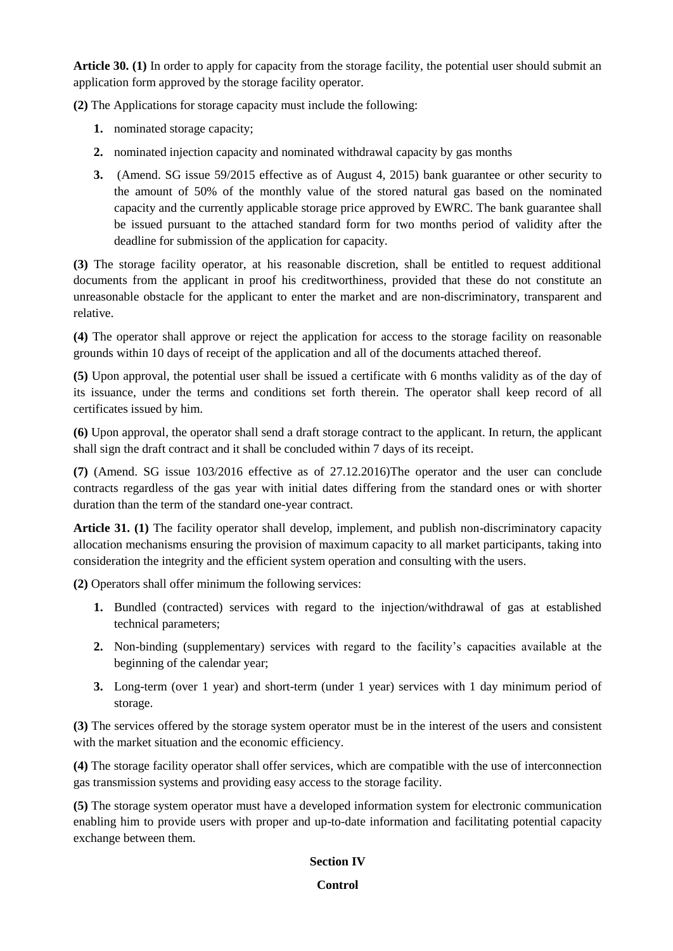**Article 30. (1)** In order to apply for capacity from the storage facility, the potential user should submit an application form approved by the storage facility operator.

**(2)** The Applications for storage capacity must include the following:

- **1.** nominated storage capacity;
- **2.** nominated injection capacity and nominated withdrawal capacity by gas months
- **3.** (Amend. SG issue 59/2015 effective as of August 4, 2015) bank guarantee or other security to the amount of 50% of the monthly value of the stored natural gas based on the nominated capacity and the currently applicable storage price approved by EWRC. The bank guarantee shall be issued pursuant to the attached standard form for two months period of validity after the deadline for submission of the application for capacity.

**(3)** The storage facility operator, at his reasonable discretion, shall be entitled to request additional documents from the applicant in proof his creditworthiness, provided that these do not constitute an unreasonable obstacle for the applicant to enter the market and are non-discriminatory, transparent and relative.

**(4)** The operator shall approve or reject the application for access to the storage facility on reasonable grounds within 10 days of receipt of the application and all of the documents attached thereof.

**(5)** Upon approval, the potential user shall be issued a certificate with 6 months validity as of the day of its issuance, under the terms and conditions set forth therein. The operator shall keep record of all certificates issued by him.

**(6)** Upon approval, the operator shall send a draft storage contract to the applicant. In return, the applicant shall sign the draft contract and it shall be concluded within 7 days of its receipt.

**(7)** (Amend. SG issue 103/2016 effective as of 27.12.2016)The operator and the user can conclude contracts regardless of the gas year with initial dates differing from the standard ones or with shorter duration than the term of the standard one-year contract.

**Article 31. (1)** The facility operator shall develop, implement, and publish non-discriminatory capacity allocation mechanisms ensuring the provision of maximum capacity to all market participants, taking into consideration the integrity and the efficient system operation and consulting with the users.

**(2)** Operators shall offer minimum the following services:

- **1.** Bundled (contracted) services with regard to the injection/withdrawal of gas at established technical parameters;
- **2.** Non-binding (supplementary) services with regard to the facility's capacities available at the beginning of the calendar year;
- **3.** Long-term (over 1 year) and short-term (under 1 year) services with 1 day minimum period of storage.

**(3)** The services offered by the storage system operator must be in the interest of the users and consistent with the market situation and the economic efficiency.

**(4)** The storage facility operator shall offer services, which are compatible with the use of interconnection gas transmission systems and providing easy access to the storage facility.

**(5)** The storage system operator must have a developed information system for electronic communication enabling him to provide users with proper and up-to-date information and facilitating potential capacity exchange between them.

## **Section IV**

## **Control**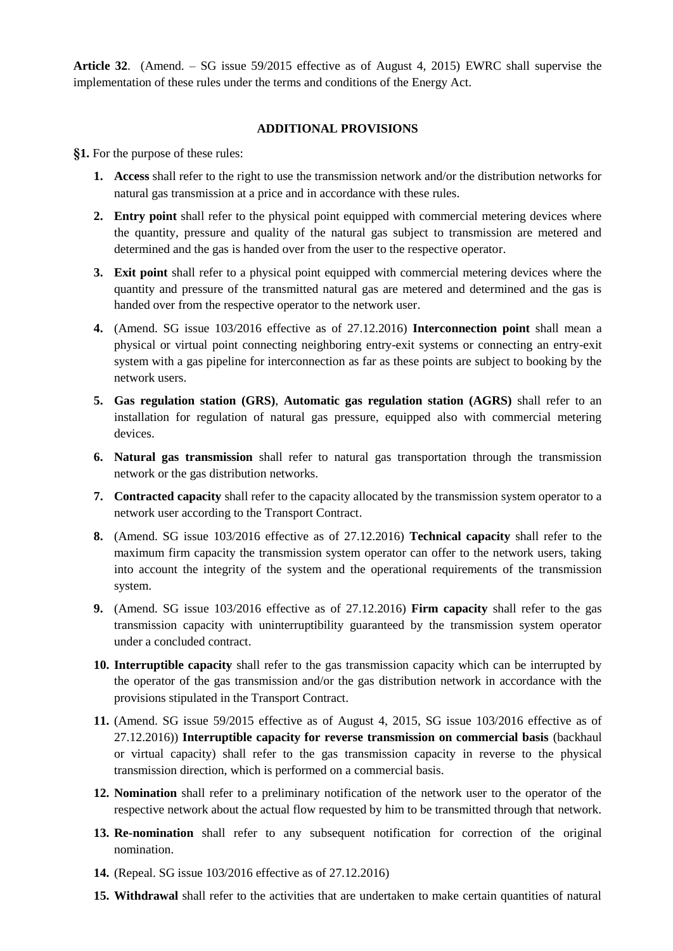**Article 32**. (Amend. – SG issue 59/2015 effective as of August 4, 2015) EWRC shall supervise the implementation of these rules under the terms and conditions of the Energy Act.

## **ADDITIONAL PROVISIONS**

**§1.** For the purpose of these rules:

- **1. Access** shall refer to the right to use the transmission network and/or the distribution networks for natural gas transmission at a price and in accordance with these rules.
- **2. Entry point** shall refer to the physical point equipped with commercial metering devices where the quantity, pressure and quality of the natural gas subject to transmission are metered and determined and the gas is handed over from the user to the respective operator.
- **3. Exit point** shall refer to a physical point equipped with commercial metering devices where the quantity and pressure of the transmitted natural gas are metered and determined and the gas is handed over from the respective operator to the network user.
- **4.** (Amend. SG issue 103/2016 effective as of 27.12.2016) **Interconnection point** shall mean a physical or virtual point connecting neighboring entry-exit systems or connecting an entry-exit system with a gas pipeline for interconnection as far as these points are subject to booking by the network users.
- **5. Gas regulation station (GRS)**, **Automatic gas regulation station (AGRS)** shall refer to an installation for regulation of natural gas pressure, equipped also with commercial metering devices.
- **6. Natural gas transmission** shall refer to natural gas transportation through the transmission network or the gas distribution networks.
- **7. Contracted capacity** shall refer to the capacity allocated by the transmission system operator to a network user according to the Transport Contract.
- **8.** (Amend. SG issue 103/2016 effective as of 27.12.2016) **Technical capacity** shall refer to the maximum firm capacity the transmission system operator can offer to the network users, taking into account the integrity of the system and the operational requirements of the transmission system.
- **9.** (Amend. SG issue 103/2016 effective as of 27.12.2016) **Firm capacity** shall refer to the gas transmission capacity with uninterruptibility guaranteed by the transmission system operator under a concluded contract.
- **10. Interruptible capacity** shall refer to the gas transmission capacity which can be interrupted by the operator of the gas transmission and/or the gas distribution network in accordance with the provisions stipulated in the Transport Contract.
- **11.** (Amend. SG issue 59/2015 effective as of August 4, 2015, SG issue 103/2016 effective as of 27.12.2016)) **Interruptible capacity for reverse transmission on commercial basis** (backhaul or virtual capacity) shall refer to the gas transmission capacity in reverse to the physical transmission direction, which is performed on a commercial basis.
- **12. Nomination** shall refer to a preliminary notification of the network user to the operator of the respective network about the actual flow requested by him to be transmitted through that network.
- **13. Re-nomination** shall refer to any subsequent notification for correction of the original nomination.
- **14.** (Repeal. SG issue 103/2016 effective as of 27.12.2016)
- **15. Withdrawal** shall refer to the activities that are undertaken to make certain quantities of natural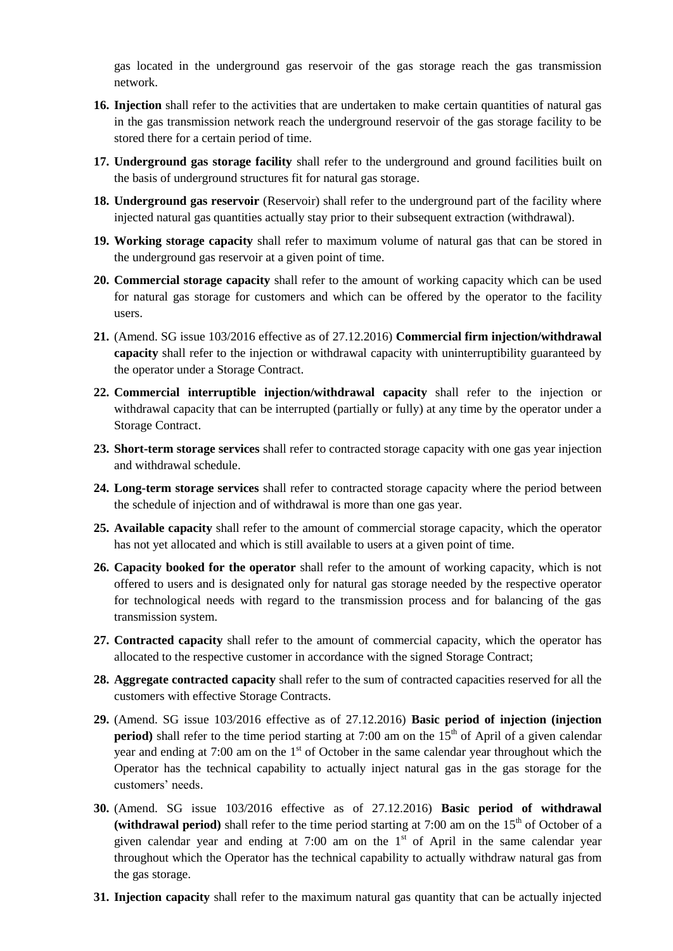gas located in the underground gas reservoir of the gas storage reach the gas transmission network.

- **16. Injection** shall refer to the activities that are undertaken to make certain quantities of natural gas in the gas transmission network reach the underground reservoir of the gas storage facility to be stored there for a certain period of time.
- **17. Underground gas storage facility** shall refer to the underground and ground facilities built on the basis of underground structures fit for natural gas storage.
- **18. Underground gas reservoir** (Reservoir) shall refer to the underground part of the facility where injected natural gas quantities actually stay prior to their subsequent extraction (withdrawal).
- **19. Working storage capacity** shall refer to maximum volume of natural gas that can be stored in the underground gas reservoir at a given point of time.
- **20. Commercial storage capacity** shall refer to the amount of working capacity which can be used for natural gas storage for customers and which can be offered by the operator to the facility users.
- **21.** (Amend. SG issue 103/2016 effective as of 27.12.2016) **Commercial firm injection/withdrawal capacity** shall refer to the injection or withdrawal capacity with uninterruptibility guaranteed by the operator under a Storage Contract.
- **22. Commercial interruptible injection/withdrawal capacity** shall refer to the injection or withdrawal capacity that can be interrupted (partially or fully) at any time by the operator under a Storage Contract.
- **23. Short-term storage services** shall refer to contracted storage capacity with one gas year injection and withdrawal schedule.
- **24. Long-term storage services** shall refer to contracted storage capacity where the period between the schedule of injection and of withdrawal is more than one gas year.
- **25. Available capacity** shall refer to the amount of commercial storage capacity, which the operator has not yet allocated and which is still available to users at a given point of time.
- **26. Capacity booked for the operator** shall refer to the amount of working capacity, which is not offered to users and is designated only for natural gas storage needed by the respective operator for technological needs with regard to the transmission process and for balancing of the gas transmission system.
- **27. Contracted capacity** shall refer to the amount of commercial capacity, which the operator has allocated to the respective customer in accordance with the signed Storage Contract;
- **28. Aggregate contracted capacity** shall refer to the sum of contracted capacities reserved for all the customers with effective Storage Contracts.
- **29.** (Amend. SG issue 103/2016 effective as of 27.12.2016) **Basic period of injection (injection period**) shall refer to the time period starting at 7:00 am on the  $15<sup>th</sup>$  of April of a given calendar year and ending at 7:00 am on the  $1<sup>st</sup>$  of October in the same calendar year throughout which the Operator has the technical capability to actually inject natural gas in the gas storage for the customers' needs.
- **30.** (Amend. SG issue 103/2016 effective as of 27.12.2016) **Basic period of withdrawal**  (withdrawal period) shall refer to the time period starting at  $7:00$  am on the  $15<sup>th</sup>$  of October of a given calendar year and ending at 7:00 am on the  $1<sup>st</sup>$  of April in the same calendar year throughout which the Operator has the technical capability to actually withdraw natural gas from the gas storage.
- **31. Injection capacity** shall refer to the maximum natural gas quantity that can be actually injected